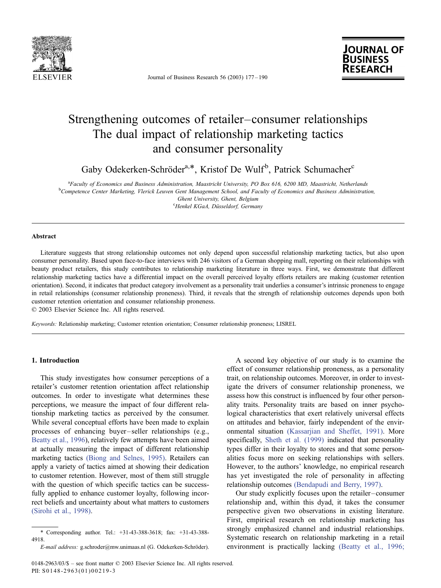

Journal of Business Research 56 (2003) 177 – 190



## Strengthening outcomes of retailer–consumer relationships The dual impact of relationship marketing tactics and consumer personality

Gaby Odekerken-Schröder<sup>a,\*</sup>, Kristof De Wulf<sup>b</sup>, Patrick Schumacher<sup>c</sup>

<sup>a</sup> Faculty of Economics and Business Administration, Maastricht University, PO Box 616, 6200 MD, Maastricht, Netherlands<br><sup>b</sup>Compatence Center Marketing, Vlariek Leuven Gent Management School, and Economics and Business Ad <sup>b</sup>Competence Center Marketing, Vlerick Leuven Gent Management School, and Faculty of Economics and Business Administration,

Ghent University, Ghent, Belgium <sup>c</sup>Henkel KGaA, Düsseldorf, Germany

#### Abstract

Literature suggests that strong relationship outcomes not only depend upon successful relationship marketing tactics, but also upon consumer personality. Based upon face-to-face interviews with 246 visitors of a German shopping mall, reporting on their relationships with beauty product retailers, this study contributes to relationship marketing literature in three ways. First, we demonstrate that different relationship marketing tactics have a differential impact on the overall perceived loyalty efforts retailers are making (customer retention orientation). Second, it indicates that product category involvement as a personality trait underlies a consumer's intrinsic proneness to engage in retail relationships (consumer relationship proneness). Third, it reveals that the strength of relationship outcomes depends upon both customer retention orientation and consumer relationship proneness.

 $© 2003 Elsevier Science Inc. All rights reserved.$ 

Keywords: Relationship marketing; Customer retention orientation; Consumer relationship proneness; LISREL

### 1. Introduction

This study investigates how consumer perceptions of a retailer's customer retention orientation affect relationship outcomes. In order to investigate what determines these perceptions, we measure the impact of four different relationship marketing tactics as perceived by the consumer. While several conceptual efforts have been made to explain processes of enhancing buyer – seller relationships (e.g., [Beatty et al., 1996\)](#page--1-0), relatively few attempts have been aimed at actually measuring the impact of different relationship marketing tactics [\(Biong and Selnes, 1995\).](#page--1-0) Retailers can apply a variety of tactics aimed at showing their dedication to customer retention. However, most of them still struggle with the question of which specific tactics can be successfully applied to enhance customer loyalty, following incorrect beliefs and uncertainty about what matters to customers [\(Sirohi et al., 1998\).](#page--1-0)

A second key objective of our study is to examine the effect of consumer relationship proneness, as a personality trait, on relationship outcomes. Moreover, in order to investigate the drivers of consumer relationship proneness, we assess how this construct is influenced by four other personality traits. Personality traits are based on inner psychological characteristics that exert relatively universal effects on attitudes and behavior, fairly independent of the environmental situation [\(Kassarjian and Sheffet, 1991\).](#page--1-0) More specifically, [Sheth et al. \(1999\)](#page--1-0) indicated that personality types differ in their loyalty to stores and that some personalities focus more on seeking relationships with sellers. However, to the authors' knowledge, no empirical research has yet investigated the role of personality in affecting relationship outcomes [\(Bendapudi and Berry, 1997\).](#page--1-0)

Our study explicitly focuses upon the retailer –consumer relationship and, within this dyad, it takes the consumer perspective given two observations in existing literature. First, empirical research on relationship marketing has strongly emphasized channel and industrial relationships. Systematic research on relationship marketing in a retail environment is practically lacking [\(Beatty et al., 1996;](#page--1-0)

<sup>\*</sup> Corresponding author. Tel.: +31-43-388-3618; fax: +31-43-388- 4918.

E-mail address: g.schroder@mw.unimaas.nl (G. Odekerken-Schröder).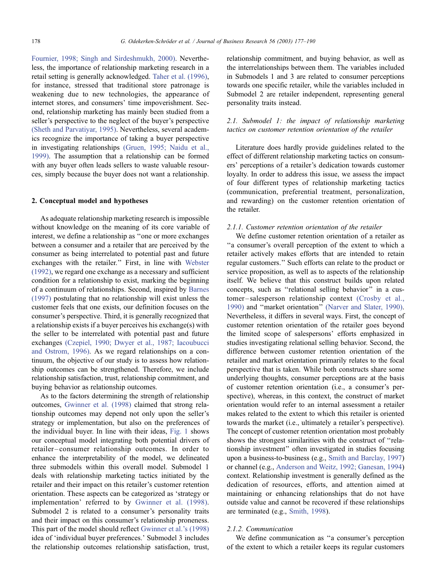Fournier, 1998; Singh and Sirdeshmukh, 2000). Nevertheless, the importance of relationship marketing research in a retail setting is generally acknowledged. [Taher et al. \(1996\),](#page--1-0) for instance, stressed that traditional store patronage is weakening due to new technologies, the appearance of internet stores, and consumers' time impoverishment. Second, relationship marketing has mainly been studied from a seller's perspective to the neglect of the buyer's perspective [\(Sheth and Parvatiyar, 1995\).](#page--1-0) Nevertheless, several academics recognize the importance of taking a buyer perspective in investigating relationships [\(Gruen, 1995; Naidu et al.,](#page--1-0) 1999). The assumption that a relationship can be formed with any buyer often leads sellers to waste valuable resources, simply because the buyer does not want a relationship.

## 2. Conceptual model and hypotheses

As adequate relationship marketing research is impossible without knowledge on the meaning of its core variable of interest, we define a relationship as ''one or more exchanges between a consumer and a retailer that are perceived by the consumer as being interrelated to potential past and future exchanges with the retailer.'' First, in line with [Webster](#page--1-0) (1992), we regard one exchange as a necessary and sufficient condition for a relationship to exist, marking the beginning of a continuum of relationships. Second, inspired by [Barnes](#page--1-0) (1997) postulating that no relationship will exist unless the customer feels that one exists, our definition focuses on the consumer's perspective. Third, it is generally recognized that a relationship exists if a buyer perceives his exchange(s) with the seller to be interrelated with potential past and future exchanges [\(Czepiel, 1990; Dwyer et al., 1987; Iacoubucci](#page--1-0) and Ostrom, 1996). As we regard relationships on a continuum, the objective of our study is to assess how relationship outcomes can be strengthened. Therefore, we include relationship satisfaction, trust, relationship commitment, and buying behavior as relationship outcomes.

As to the factors determining the strength of relationship outcomes, [Gwinner et al. \(1998\)](#page--1-0) claimed that strong relationship outcomes may depend not only upon the seller's strategy or implementation, but also on the preferences of the individual buyer. In line with their ideas, [Fig. 1](#page--1-0) shows our conceptual model integrating both potential drivers of retailer –consumer relationship outcomes. In order to enhance the interpretability of the model, we delineated three submodels within this overall model. Submodel 1 deals with relationship marketing tactics initiated by the retailer and their impact on this retailer's customer retention orientation. These aspects can be categorized as 'strategy or implementation' referred to by [Gwinner et al. \(1998\).](#page--1-0) Submodel 2 is related to a consumer's personality traits and their impact on this consumer's relationship proneness. This part of the model should reflect [Gwinner et al.'s \(1998\)](#page--1-0) idea of 'individual buyer preferences.' Submodel 3 includes the relationship outcomes relationship satisfaction, trust,

relationship commitment, and buying behavior, as well as the interrelationships between them. The variables included in Submodels 1 and 3 are related to consumer perceptions towards one specific retailer, while the variables included in Submodel 2 are retailer independent, representing general personality traits instead.

## 2.1. Submodel 1: the impact of relationship marketing tactics on customer retention orientation of the retailer

Literature does hardly provide guidelines related to the effect of different relationship marketing tactics on consumers' perceptions of a retailer's dedication towards customer loyalty. In order to address this issue, we assess the impact of four different types of relationship marketing tactics (communication, preferential treatment, personalization, and rewarding) on the customer retention orientation of the retailer.

#### 2.1.1. Customer retention orientation of the retailer

We define customer retention orientation of a retailer as ''a consumer's overall perception of the extent to which a retailer actively makes efforts that are intended to retain regular customers.'' Such efforts can relate to the product or service proposition, as well as to aspects of the relationship itself. We believe that this construct builds upon related concepts, such as ''relational selling behavior'' in a customer – salesperson relationship context [\(Crosby et al.,](#page--1-0) 1990) and ''market orientation'' [\(Narver and Slater, 1990\).](#page--1-0) Nevertheless, it differs in several ways. First, the concept of customer retention orientation of the retailer goes beyond the limited scope of salespersons' efforts emphasized in studies investigating relational selling behavior. Second, the difference between customer retention orientation of the retailer and market orientation primarily relates to the focal perspective that is taken. While both constructs share some underlying thoughts, consumer perceptions are at the basis of customer retention orientation (i.e., a consumer's perspective), whereas, in this context, the construct of market orientation would refer to an internal assessment a retailer makes related to the extent to which this retailer is oriented towards the market (i.e., ultimately a retailer's perspective). The concept of customer retention orientation most probably shows the strongest similarities with the construct of ''relationship investment'' often investigated in studies focusing upon a business-to-business (e.g., [Smith and Barclay, 1997\)](#page--1-0) or channel (e.g., [Anderson and Weitz, 1992; Ganesan, 1994\)](#page--1-0) context. Relationship investment is generally defined as the dedication of resources, efforts, and attention aimed at maintaining or enhancing relationships that do not have outside value and cannot be recovered if these relationships are terminated (e.g., [Smith, 1998\)](#page--1-0).

#### 2.1.2. Communication

We define communication as ''a consumer's perception of the extent to which a retailer keeps its regular customers